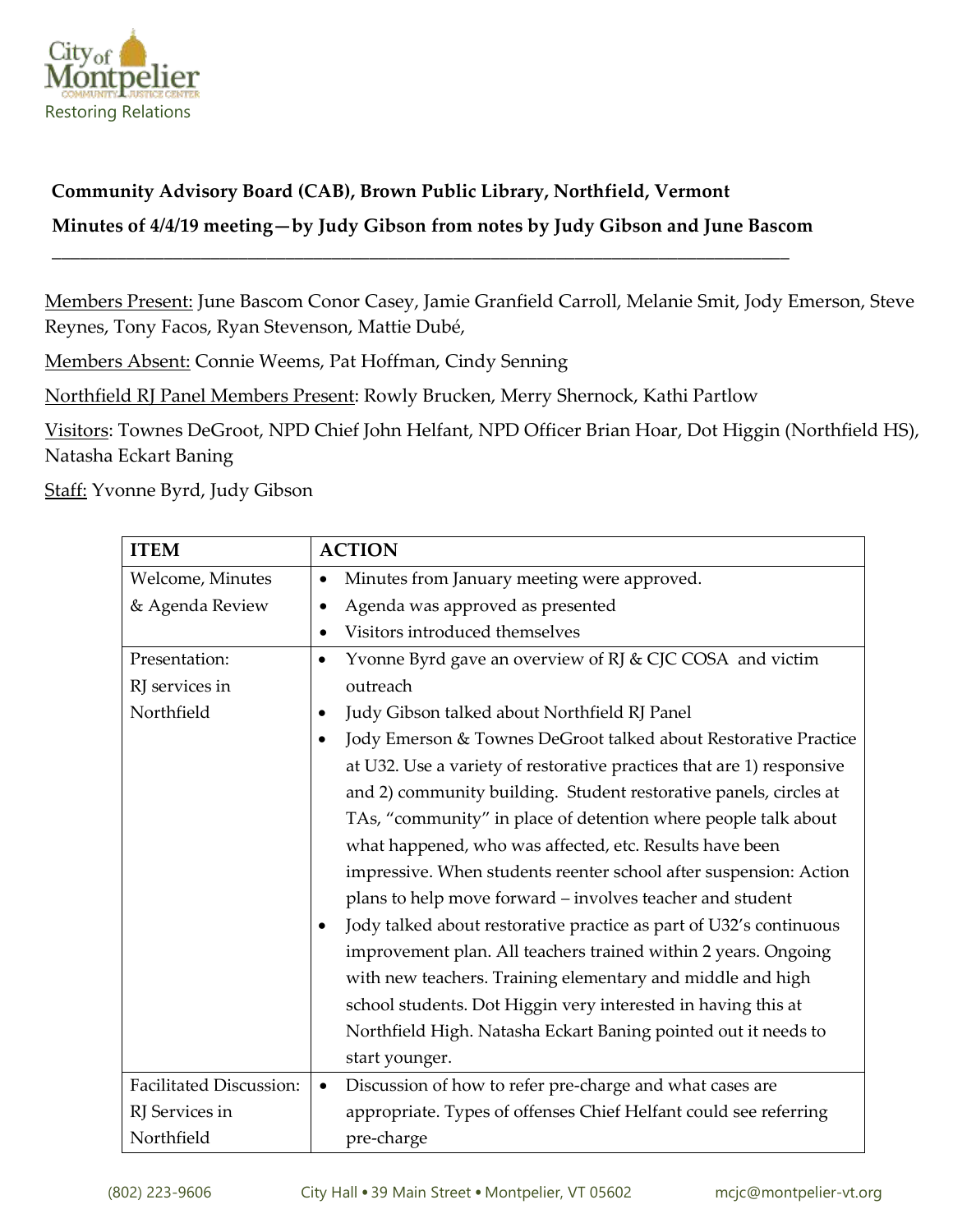

## **Community Advisory Board (CAB), Brown Public Library, Northfield, Vermont**

## **Minutes of 4/4/19 meeting—by Judy Gibson from notes by Judy Gibson and June Bascom**

**\_\_\_\_\_\_\_\_\_\_\_\_\_\_\_\_\_\_\_\_\_\_\_\_\_\_\_\_\_\_\_\_\_\_\_\_\_\_\_\_\_\_\_\_\_\_\_\_\_\_\_\_\_\_\_\_\_\_\_\_\_\_\_\_\_\_\_\_\_\_\_\_\_\_\_\_\_\_\_**

Members Present: June Bascom Conor Casey, Jamie Granfield Carroll, Melanie Smit, Jody Emerson, Steve Reynes, Tony Facos, Ryan Stevenson, Mattie Dubé,

Members Absent: Connie Weems, Pat Hoffman, Cindy Senning

Northfield RJ Panel Members Present: Rowly Brucken, Merry Shernock, Kathi Partlow

Visitors: Townes DeGroot, NPD Chief John Helfant, NPD Officer Brian Hoar, Dot Higgin (Northfield HS), Natasha Eckart Baning

Staff: Yvonne Byrd, Judy Gibson

| <b>ITEM</b>                    | <b>ACTION</b>                                                                |
|--------------------------------|------------------------------------------------------------------------------|
| Welcome, Minutes               | Minutes from January meeting were approved.<br>$\bullet$                     |
| & Agenda Review                | Agenda was approved as presented<br>٠                                        |
|                                | Visitors introduced themselves<br>$\bullet$                                  |
| Presentation:                  | Yvonne Byrd gave an overview of RJ & CJC COSA and victim<br>$\bullet$        |
| RJ services in                 | outreach                                                                     |
| Northfield                     | Judy Gibson talked about Northfield RJ Panel                                 |
|                                | Jody Emerson & Townes DeGroot talked about Restorative Practice<br>$\bullet$ |
|                                | at U32. Use a variety of restorative practices that are 1) responsive        |
|                                | and 2) community building. Student restorative panels, circles at            |
|                                | TAs, "community" in place of detention where people talk about               |
|                                | what happened, who was affected, etc. Results have been                      |
|                                | impressive. When students reenter school after suspension: Action            |
|                                | plans to help move forward - involves teacher and student                    |
|                                | Jody talked about restorative practice as part of U32's continuous           |
|                                | improvement plan. All teachers trained within 2 years. Ongoing               |
|                                | with new teachers. Training elementary and middle and high                   |
|                                | school students. Dot Higgin very interested in having this at                |
|                                | Northfield High. Natasha Eckart Baning pointed out it needs to               |
|                                | start younger.                                                               |
| <b>Facilitated Discussion:</b> | Discussion of how to refer pre-charge and what cases are<br>$\bullet$        |
| RJ Services in                 | appropriate. Types of offenses Chief Helfant could see referring             |
| Northfield                     | pre-charge                                                                   |